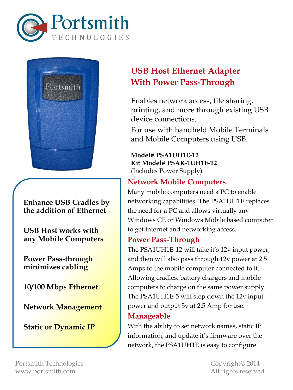



**Enhance USB Cradles by the addition of Ethernet**

**USB Host works with any Mobile Computers**

**Power Pass-through minimizes cabling**

**10/100 Mbps Ethernet**

**Network Management**

**Static or Dynamic IP**

# **USB Host Ethernet Adapter With Power Pass-Through**

Enables network access, file sharing, printing, and more through existing USB device connections.

For use with handheld Mobile Terminals and Mobile Computers using USB.

**Model# PSA1UH1E-12 Kit Model# PSAK-1UH1E-12** (Includes Power Supply)

# **Network Mobile Computers**

Many mobile computers need a PC to enable networking capabilities. The PSA1UH1E replaces the need for a PC and allows virtually any Windows CE or Windows Mobile based computer to get internet and networking access.

# **Power Pass-Through**

The PSA1UH1E-12 will take it's 12v input power, and then will also pass through 12v power at 2.5 Amps to the mobile computer connected to it. Allowing cradles, battery chargers and mobile computers to charge on the same power supply. The PSA1UH1E-5 will step down the 12v input power and output 5v at 2.5 Amp for use.

# **Manageable**

With the ability to set network names, static IP information, and update it's firmware over the network, the PSA1UH1E is easy to configure

Portsmith Technologies Copyright© 2014 www.portsmith.com and a state of the state of the All rights reserved